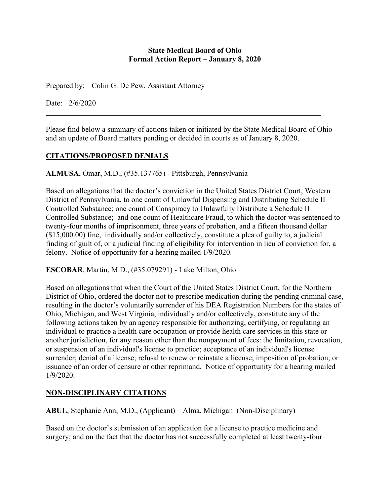#### **State Medical Board of Ohio Formal Action Report – January 8, 2020**

Prepared by: Colin G. De Pew, Assistant Attorney

Date: 2/6/2020

Please find below a summary of actions taken or initiated by the State Medical Board of Ohio and an update of Board matters pending or decided in courts as of January 8, 2020.

### **CITATIONS/PROPOSED DENIALS**

**ALMUSA**, Omar, M.D., (#35.137765) - Pittsburgh, Pennsylvania

Based on allegations that the doctor's conviction in the United States District Court, Western District of Pennsylvania, to one count of Unlawful Dispensing and Distributing Schedule II Controlled Substance; one count of Conspiracy to Unlawfully Distribute a Schedule II Controlled Substance; and one count of Healthcare Fraud, to which the doctor was sentenced to twenty-four months of imprisonment, three years of probation, and a fifteen thousand dollar (\$15,000.00) fine, individually and/or collectively, constitute a plea of guilty to, a judicial finding of guilt of, or a judicial finding of eligibility for intervention in lieu of conviction for, a felony. Notice of opportunity for a hearing mailed 1/9/2020.

**ESCOBAR**, Martin, M.D., (#35.079291) - Lake Milton, Ohio

Based on allegations that when the Court of the United States District Court, for the Northern District of Ohio, ordered the doctor not to prescribe medication during the pending criminal case, resulting in the doctor's voluntarily surrender of his DEA Registration Numbers for the states of Ohio, Michigan, and West Virginia, individually and/or collectively, constitute any of the following actions taken by an agency responsible for authorizing, certifying, or regulating an individual to practice a health care occupation or provide health care services in this state or another jurisdiction, for any reason other than the nonpayment of fees: the limitation, revocation, or suspension of an individual's license to practice; acceptance of an individual's license surrender; denial of a license; refusal to renew or reinstate a license; imposition of probation; or issuance of an order of censure or other reprimand. Notice of opportunity for a hearing mailed 1/9/2020.

#### **NON-DISCIPLINARY CITATIONS**

**ABUL**, Stephanie Ann, M.D., (Applicant) – Alma, Michigan (Non-Disciplinary)

Based on the doctor's submission of an application for a license to practice medicine and surgery; and on the fact that the doctor has not successfully completed at least twenty-four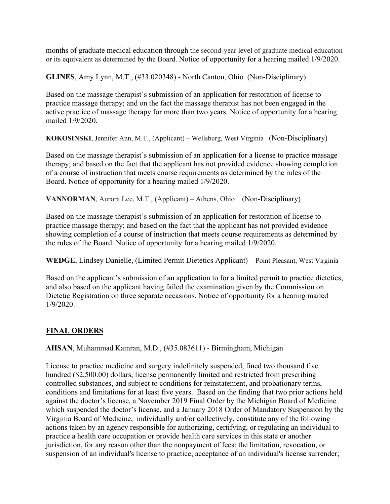months of graduate medical education through the second-year level of graduate medical education or its equivalent as determined by the Board. Notice of opportunity for a hearing mailed 1/9/2020.

**GLINES**, Amy Lynn, M.T., (#33.020348) - North Canton, Ohio (Non-Disciplinary)

Based on the massage therapist's submission of an application for restoration of license to practice massage therapy; and on the fact the massage therapist has not been engaged in the active practice of massage therapy for more than two years. Notice of opportunity for a hearing mailed 1/9/2020.

**KOKOSINSKI**, Jennifer Ann, M.T., (Applicant) – Wellsburg, West Virginia (Non-Disciplinary)

Based on the massage therapist's submission of an application for a license to practice massage therapy; and based on the fact that the applicant has not provided evidence showing completion of a course of instruction that meets course requirements as determined by the rules of the Board. Notice of opportunity for a hearing mailed 1/9/2020.

**VANNORMAN**, Aurora Lee, M.T., (Applicant) – Athens, Ohio (Non-Disciplinary)

Based on the massage therapist's submission of an application for restoration of license to practice massage therapy; and based on the fact that the applicant has not provided evidence showing completion of a course of instruction that meets course requirements as determined by the rules of the Board. Notice of opportunity for a hearing mailed 1/9/2020.

**WEDGE**, Lindsey Danielle, (Limited Permit Dietetics Applicant) – Point Pleasant, West Virginia

Based on the applicant's submission of an application to for a limited permit to practice dietetics; and also based on the applicant having failed the examination given by the Commission on Dietetic Registration on three separate occasions. Notice of opportunity for a hearing mailed 1/9/2020.

# **FINAL ORDERS**

**AHSAN**, Muhammad Kamran, M.D., (#35.083611) - Birmingham, Michigan

License to practice medicine and surgery indefinitely suspended, fined two thousand five hundred (\$2,500.00) dollars, license permanently limited and restricted from prescribing controlled substances, and subject to conditions for reinstatement, and probationary terms, conditions and limitations for at least five years. Based on the finding that two prior actions held against the doctor's license, a November 2019 Final Order by the Michigan Board of Medicine which suspended the doctor's license, and a January 2018 Order of Mandatory Suspension by the Virginia Board of Medicine, individually and/or collectively, constitute any of the following actions taken by an agency responsible for authorizing, certifying, or regulating an individual to practice a health care occupation or provide health care services in this state or another jurisdiction, for any reason other than the nonpayment of fees: the limitation, revocation, or suspension of an individual's license to practice; acceptance of an individual's license surrender;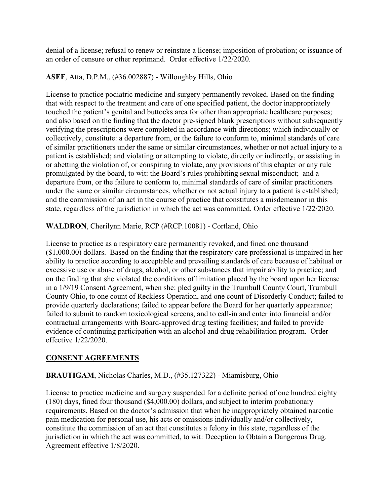denial of a license; refusal to renew or reinstate a license; imposition of probation; or issuance of an order of censure or other reprimand. Order effective 1/22/2020.

### **ASEF**, Atta, D.P.M., (#36.002887) - Willoughby Hills, Ohio

License to practice podiatric medicine and surgery permanently revoked. Based on the finding that with respect to the treatment and care of one specified patient, the doctor inappropriately touched the patient's genital and buttocks area for other than appropriate healthcare purposes; and also based on the finding that the doctor pre-signed blank prescriptions without subsequently verifying the prescriptions were completed in accordance with directions; which individually or collectively, constitute: a departure from, or the failure to conform to, minimal standards of care of similar practitioners under the same or similar circumstances, whether or not actual injury to a patient is established; and violating or attempting to violate, directly or indirectly, or assisting in or abetting the violation of, or conspiring to violate, any provisions of this chapter or any rule promulgated by the board, to wit: the Board's rules prohibiting sexual misconduct; and a departure from, or the failure to conform to, minimal standards of care of similar practitioners under the same or similar circumstances, whether or not actual injury to a patient is established; and the commission of an act in the course of practice that constitutes a misdemeanor in this state, regardless of the jurisdiction in which the act was committed. Order effective 1/22/2020.

**WALDRON**, Cherilynn Marie, RCP (#RCP.10081) - Cortland, Ohio

License to practice as a respiratory care permanently revoked, and fined one thousand (\$1,000.00) dollars. Based on the finding that the respiratory care professional is impaired in her ability to practice according to acceptable and prevailing standards of care because of habitual or excessive use or abuse of drugs, alcohol, or other substances that impair ability to practice; and on the finding that she violated the conditions of limitation placed by the board upon her license in a 1/9/19 Consent Agreement, when she: pled guilty in the Trumbull County Court, Trumbull County Ohio, to one count of Reckless Operation, and one count of Disorderly Conduct; failed to provide quarterly declarations; failed to appear before the Board for her quarterly appearance; failed to submit to random toxicological screens, and to call-in and enter into financial and/or contractual arrangements with Board-approved drug testing facilities; and failed to provide evidence of continuing participation with an alcohol and drug rehabilitation program. Order effective 1/22/2020.

#### **CONSENT AGREEMENTS**

#### **BRAUTIGAM**, Nicholas Charles, M.D., (#35.127322) - Miamisburg, Ohio

License to practice medicine and surgery suspended for a definite period of one hundred eighty (180) days, fined four thousand (\$4,000.00) dollars, and subject to interim probationary requirements. Based on the doctor's admission that when he inappropriately obtained narcotic pain medication for personal use, his acts or omissions individually and/or collectively, constitute the commission of an act that constitutes a felony in this state, regardless of the jurisdiction in which the act was committed, to wit: Deception to Obtain a Dangerous Drug. Agreement effective 1/8/2020.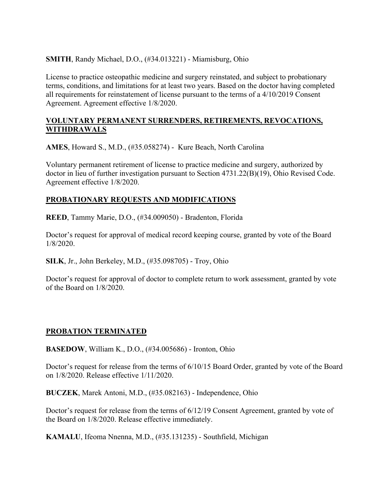### **SMITH**, Randy Michael, D.O., (#34.013221) - Miamisburg, Ohio

License to practice osteopathic medicine and surgery reinstated, and subject to probationary terms, conditions, and limitations for at least two years. Based on the doctor having completed all requirements for reinstatement of license pursuant to the terms of a 4/10/2019 Consent Agreement. Agreement effective 1/8/2020.

#### **VOLUNTARY PERMANENT SURRENDERS, RETIREMENTS, REVOCATIONS, WITHDRAWALS**

**AMES**, Howard S., M.D., (#35.058274) - Kure Beach, North Carolina

Voluntary permanent retirement of license to practice medicine and surgery, authorized by doctor in lieu of further investigation pursuant to Section 4731.22(B)(19), Ohio Revised Code. Agreement effective 1/8/2020.

### **PROBATIONARY REQUESTS AND MODIFICATIONS**

**REED**, Tammy Marie, D.O., (#34.009050) - Bradenton, Florida

Doctor's request for approval of medical record keeping course, granted by vote of the Board 1/8/2020.

**SILK**, Jr., John Berkeley, M.D., (#35.098705) - Troy, Ohio

Doctor's request for approval of doctor to complete return to work assessment, granted by vote of the Board on 1/8/2020.

# **PROBATION TERMINATED**

**BASEDOW**, William K., D.O., (#34.005686) - Ironton, Ohio

Doctor's request for release from the terms of 6/10/15 Board Order, granted by vote of the Board on 1/8/2020. Release effective 1/11/2020.

**BUCZEK**, Marek Antoni, M.D., (#35.082163) - Independence, Ohio

Doctor's request for release from the terms of 6/12/19 Consent Agreement, granted by vote of the Board on 1/8/2020. Release effective immediately.

**KAMALU**, Ifeoma Nnenna, M.D., (#35.131235) - Southfield, Michigan